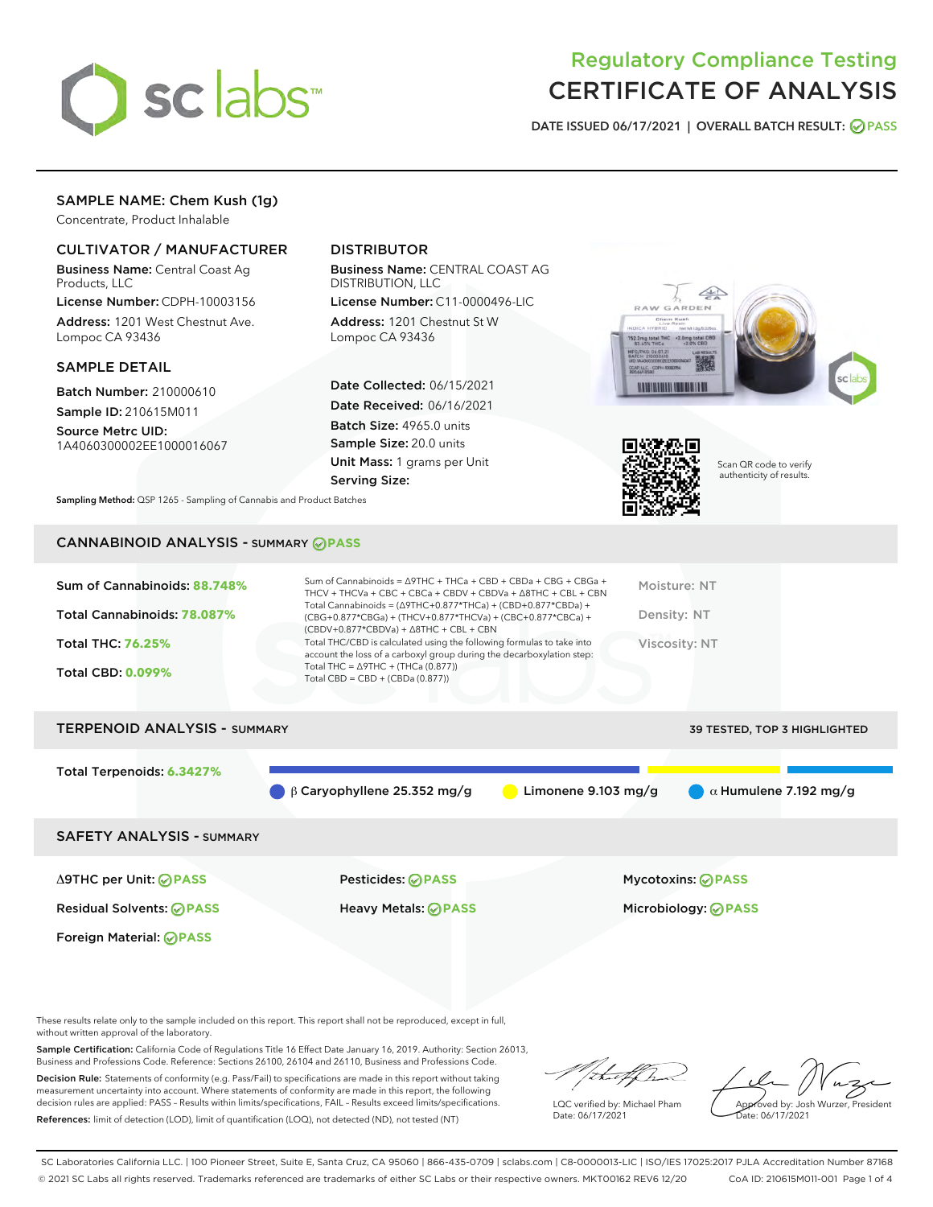

# Regulatory Compliance Testing CERTIFICATE OF ANALYSIS

DATE ISSUED 06/17/2021 | OVERALL BATCH RESULT: @ PASS

# SAMPLE NAME: Chem Kush (1g)

Concentrate, Product Inhalable

## CULTIVATOR / MANUFACTURER

Business Name: Central Coast Ag Products, LLC

License Number: CDPH-10003156 Address: 1201 West Chestnut Ave. Lompoc CA 93436

#### SAMPLE DETAIL

Batch Number: 210000610 Sample ID: 210615M011

Source Metrc UID: 1A4060300002EE1000016067

# DISTRIBUTOR

Business Name: CENTRAL COAST AG DISTRIBUTION, LLC

License Number: C11-0000496-LIC Address: 1201 Chestnut St W Lompoc CA 93436

Date Collected: 06/15/2021 Date Received: 06/16/2021 Batch Size: 4965.0 units Sample Size: 20.0 units Unit Mass: 1 grams per Unit Serving Size:





Scan QR code to verify authenticity of results.

Sampling Method: QSP 1265 - Sampling of Cannabis and Product Batches

## CANNABINOID ANALYSIS - SUMMARY **PASS**

# TERPENOID ANALYSIS - SUMMARY 39 TESTED, TOP 3 HIGHLIGHTED

Total Terpenoids: **6.3427%**

β Caryophyllene 25.352 mg/g Limonene 9.103 mg/g α Humulene 7.192 mg/g

#### SAFETY ANALYSIS - SUMMARY

Δ9THC per Unit: **PASS** Pesticides: **PASS** Mycotoxins: **PASS**

Foreign Material: **PASS**

Residual Solvents: **PASS** Heavy Metals: **PASS** Microbiology: **PASS**

These results relate only to the sample included on this report. This report shall not be reproduced, except in full, without written approval of the laboratory.

Sample Certification: California Code of Regulations Title 16 Effect Date January 16, 2019. Authority: Section 26013, Business and Professions Code. Reference: Sections 26100, 26104 and 26110, Business and Professions Code. Decision Rule: Statements of conformity (e.g. Pass/Fail) to specifications are made in this report without taking

measurement uncertainty into account. Where statements of conformity are made in this report, the following decision rules are applied: PASS – Results within limits/specifications, FAIL – Results exceed limits/specifications. References: limit of detection (LOD), limit of quantification (LOQ), not detected (ND), not tested (NT)

that for

LQC verified by: Michael Pham Date: 06/17/2021

Approved by: Josh Wurzer, President ate: 06/17/2021

SC Laboratories California LLC. | 100 Pioneer Street, Suite E, Santa Cruz, CA 95060 | 866-435-0709 | sclabs.com | C8-0000013-LIC | ISO/IES 17025:2017 PJLA Accreditation Number 87168 © 2021 SC Labs all rights reserved. Trademarks referenced are trademarks of either SC Labs or their respective owners. MKT00162 REV6 12/20 CoA ID: 210615M011-001 Page 1 of 4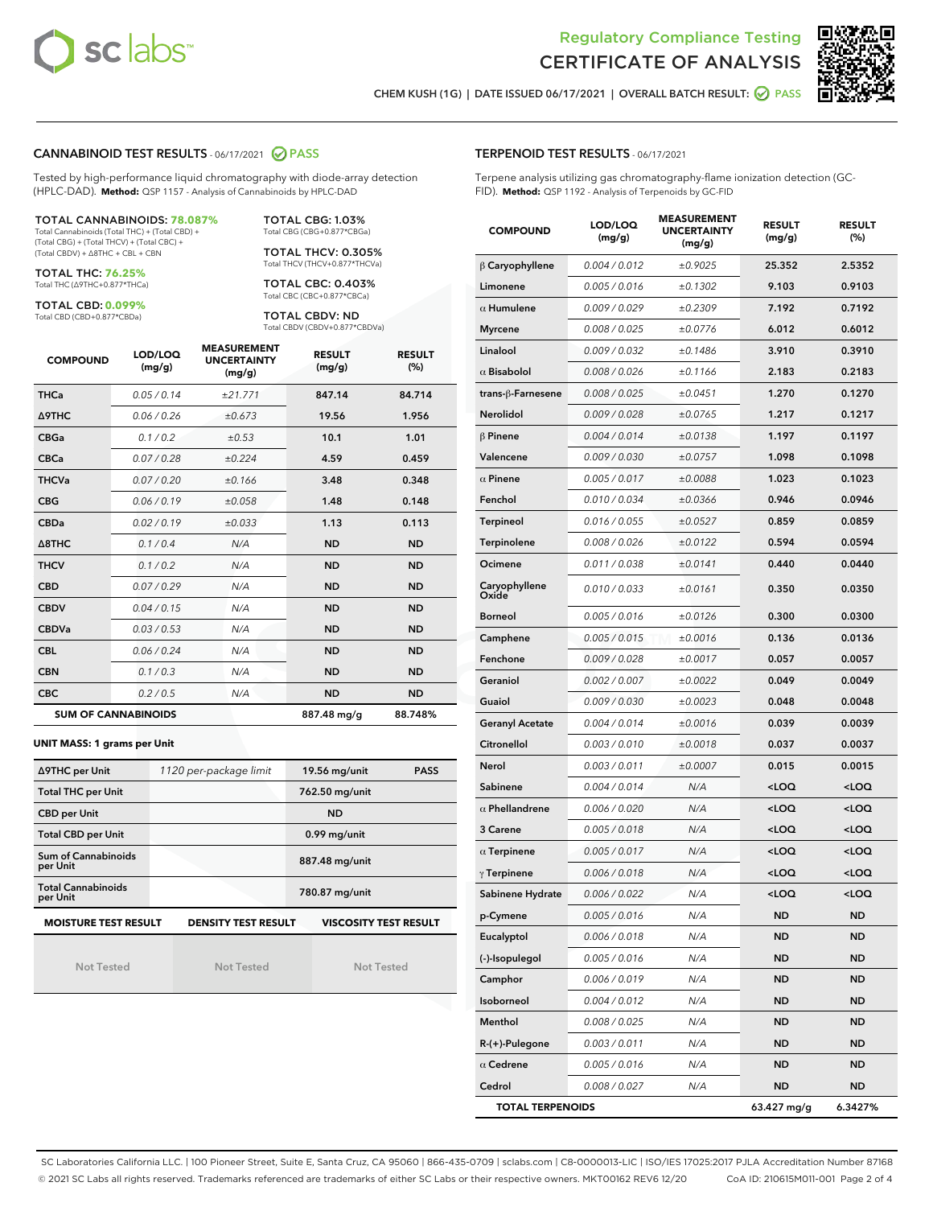



CHEM KUSH (1G) | DATE ISSUED 06/17/2021 | OVERALL BATCH RESULT: ☑ PASS

#### CANNABINOID TEST RESULTS - 06/17/2021 2 PASS

Tested by high-performance liquid chromatography with diode-array detection (HPLC-DAD). **Method:** QSP 1157 - Analysis of Cannabinoids by HPLC-DAD

#### TOTAL CANNABINOIDS: **78.087%**

Total Cannabinoids (Total THC) + (Total CBD) + (Total CBG) + (Total THCV) + (Total CBC) + (Total CBDV) + ∆8THC + CBL + CBN

TOTAL THC: **76.25%** Total THC (∆9THC+0.877\*THCa)

TOTAL CBD: **0.099%**

Total CBD (CBD+0.877\*CBDa)

TOTAL CBG: 1.03% Total CBG (CBG+0.877\*CBGa)

TOTAL THCV: 0.305% Total THCV (THCV+0.877\*THCVa)

TOTAL CBC: 0.403% Total CBC (CBC+0.877\*CBCa)

TOTAL CBDV: ND Total CBDV (CBDV+0.877\*CBDVa)

| <b>COMPOUND</b>            | LOD/LOQ<br>(mg/g) | <b>MEASUREMENT</b><br><b>UNCERTAINTY</b><br>(mg/g) | <b>RESULT</b><br>(mg/g) | <b>RESULT</b><br>(%) |
|----------------------------|-------------------|----------------------------------------------------|-------------------------|----------------------|
| <b>THCa</b>                | 0.05/0.14         | ±21.771                                            | 847.14                  | 84.714               |
| <b>A9THC</b>               | 0.06 / 0.26       | ±0.673                                             | 19.56                   | 1.956                |
| <b>CBGa</b>                | 0.1/0.2           | ±0.53                                              | 10.1                    | 1.01                 |
| <b>CBCa</b>                | 0.07/0.28         | ±0.224                                             | 4.59                    | 0.459                |
| <b>THCVa</b>               | 0.07/0.20         | ±0.166                                             | 3.48                    | 0.348                |
| <b>CBG</b>                 | 0.06/0.19         | ±0.058                                             | 1.48                    | 0.148                |
| <b>CBDa</b>                | 0.02 / 0.19       | ±0.033                                             | 1.13                    | 0.113                |
| $\triangle$ 8THC           | 0.1/0.4           | N/A                                                | <b>ND</b>               | <b>ND</b>            |
| <b>THCV</b>                | 0.1/0.2           | N/A                                                | <b>ND</b>               | <b>ND</b>            |
| <b>CBD</b>                 | 0.07/0.29         | N/A                                                | <b>ND</b>               | <b>ND</b>            |
| <b>CBDV</b>                | 0.04 / 0.15       | N/A                                                | <b>ND</b>               | <b>ND</b>            |
| <b>CBDVa</b>               | 0.03 / 0.53       | N/A                                                | <b>ND</b>               | <b>ND</b>            |
| <b>CBL</b>                 | 0.06 / 0.24       | N/A                                                | <b>ND</b>               | <b>ND</b>            |
| <b>CBN</b>                 | 0.1/0.3           | N/A                                                | <b>ND</b>               | <b>ND</b>            |
| <b>CBC</b>                 | 0.2 / 0.5         | N/A                                                | <b>ND</b>               | <b>ND</b>            |
| <b>SUM OF CANNABINOIDS</b> |                   |                                                    | 887.48 mg/g             | 88.748%              |

#### **UNIT MASS: 1 grams per Unit**

| ∆9THC per Unit                        | 1120 per-package limit     | 19.56 mg/unit<br><b>PASS</b> |  |
|---------------------------------------|----------------------------|------------------------------|--|
| <b>Total THC per Unit</b>             |                            | 762.50 mg/unit               |  |
| <b>CBD per Unit</b>                   |                            | <b>ND</b>                    |  |
| <b>Total CBD per Unit</b>             |                            | $0.99$ mg/unit               |  |
| Sum of Cannabinoids<br>per Unit       |                            | 887.48 mg/unit               |  |
| <b>Total Cannabinoids</b><br>per Unit |                            | 780.87 mg/unit               |  |
| <b>MOISTURE TEST RESULT</b>           | <b>DENSITY TEST RESULT</b> | <b>VISCOSITY TEST RESULT</b> |  |

**MOISTURE TEST RESULT**

Not Tested

Not Tested

Not Tested

#### TERPENOID TEST RESULTS - 06/17/2021

Terpene analysis utilizing gas chromatography-flame ionization detection (GC-FID). **Method:** QSP 1192 - Analysis of Terpenoids by GC-FID

| <b>COMPOUND</b>         | LOD/LOQ<br>(mg/g) | <b>MEASUREMENT</b><br><b>UNCERTAINTY</b><br>(mg/g) | <b>RESULT</b><br>(mg/g)                         | <b>RESULT</b><br>(%) |
|-------------------------|-------------------|----------------------------------------------------|-------------------------------------------------|----------------------|
| $\beta$ Caryophyllene   | 0.004 / 0.012     | ±0.9025                                            | 25.352                                          | 2.5352               |
| Limonene                | 0.005 / 0.016     | ±0.1302                                            | 9.103                                           | 0.9103               |
| $\alpha$ Humulene       | 0.009/0.029       | ±0.2309                                            | 7.192                                           | 0.7192               |
| <b>Myrcene</b>          | 0.008 / 0.025     | ±0.0776                                            | 6.012                                           | 0.6012               |
| Linalool                | 0.009 / 0.032     | ±0.1486                                            | 3.910                                           | 0.3910               |
| $\alpha$ Bisabolol      | 0.008 / 0.026     | ±0.1166                                            | 2.183                                           | 0.2183               |
| trans-ß-Farnesene       | 0.008 / 0.025     | ±0.0451                                            | 1.270                                           | 0.1270               |
| Nerolidol               | 0.009 / 0.028     | ±0.0765                                            | 1.217                                           | 0.1217               |
| $\beta$ Pinene          | 0.004 / 0.014     | ±0.0138                                            | 1.197                                           | 0.1197               |
| Valencene               | 0.009 / 0.030     | ±0.0757                                            | 1.098                                           | 0.1098               |
| $\alpha$ Pinene         | 0.005 / 0.017     | ±0.0088                                            | 1.023                                           | 0.1023               |
| Fenchol                 | 0.010 / 0.034     | ±0.0366                                            | 0.946                                           | 0.0946               |
| <b>Terpineol</b>        | 0.016 / 0.055     | ±0.0527                                            | 0.859                                           | 0.0859               |
| Terpinolene             | 0.008 / 0.026     | ±0.0122                                            | 0.594                                           | 0.0594               |
| Ocimene                 | 0.011 / 0.038     | ±0.0141                                            | 0.440                                           | 0.0440               |
| Caryophyllene<br>Oxide  | 0.010 / 0.033     | ±0.0161                                            | 0.350                                           | 0.0350               |
| <b>Borneol</b>          | 0.005 / 0.016     | ±0.0126                                            | 0.300                                           | 0.0300               |
| Camphene                | 0.005 / 0.015     | ±0.0016                                            | 0.136                                           | 0.0136               |
| Fenchone                | 0.009 / 0.028     | ±0.0017                                            | 0.057                                           | 0.0057               |
| Geraniol                | 0.002 / 0.007     | ±0.0022                                            | 0.049                                           | 0.0049               |
| Guaiol                  | 0.009 / 0.030     | ±0.0023                                            | 0.048                                           | 0.0048               |
| <b>Geranyl Acetate</b>  | 0.004 / 0.014     | ±0.0016                                            | 0.039                                           | 0.0039               |
| Citronellol             | 0.003 / 0.010     | ±0.0018                                            | 0.037                                           | 0.0037               |
| Nerol                   | 0.003 / 0.011     | ±0.0007                                            | 0.015                                           | 0.0015               |
| Sabinene                | 0.004 / 0.014     | N/A                                                | <loq< th=""><th><loq< th=""></loq<></th></loq<> | <loq< th=""></loq<>  |
| $\alpha$ Phellandrene   | 0.006 / 0.020     | N/A                                                | <loq< th=""><th><loq< th=""></loq<></th></loq<> | <loq< th=""></loq<>  |
| 3 Carene                | 0.005 / 0.018     | N/A                                                | $<$ LOQ                                         | $<$ LOQ              |
| $\alpha$ Terpinene      | 0.005 / 0.017     | N/A                                                | <loq< th=""><th><loq< th=""></loq<></th></loq<> | <loq< th=""></loq<>  |
| $\gamma$ Terpinene      | 0.006 / 0.018     | N/A                                                | <loq< th=""><th><loq< th=""></loq<></th></loq<> | <loq< th=""></loq<>  |
| Sabinene Hydrate        | 0.006 / 0.022     | N/A                                                | <loq< th=""><th><loq< th=""></loq<></th></loq<> | <loq< th=""></loq<>  |
| p-Cymene                | 0.005 / 0.016     | N/A                                                | ND                                              | ND                   |
| Eucalyptol              | 0.006 / 0.018     | N/A                                                | ND                                              | ND                   |
| (-)-Isopulegol          | 0.005 / 0.016     | N/A                                                | ND                                              | <b>ND</b>            |
| Camphor                 | 0.006 / 0.019     | N/A                                                | ND                                              | <b>ND</b>            |
| Isoborneol              | 0.004 / 0.012     | N/A                                                | ND                                              | ND                   |
| Menthol                 | 0.008 / 0.025     | N/A                                                | ND                                              | ND                   |
| $R-(+)$ -Pulegone       | 0.003 / 0.011     | N/A                                                | <b>ND</b>                                       | <b>ND</b>            |
| $\alpha$ Cedrene        | 0.005 / 0.016     | N/A                                                | ND                                              | ND                   |
| Cedrol                  | 0.008 / 0.027     | N/A                                                | <b>ND</b>                                       | ND                   |
| <b>TOTAL TERPENOIDS</b> |                   |                                                    | 63.427 mg/g                                     | 6.3427%              |

SC Laboratories California LLC. | 100 Pioneer Street, Suite E, Santa Cruz, CA 95060 | 866-435-0709 | sclabs.com | C8-0000013-LIC | ISO/IES 17025:2017 PJLA Accreditation Number 87168 © 2021 SC Labs all rights reserved. Trademarks referenced are trademarks of either SC Labs or their respective owners. MKT00162 REV6 12/20 CoA ID: 210615M011-001 Page 2 of 4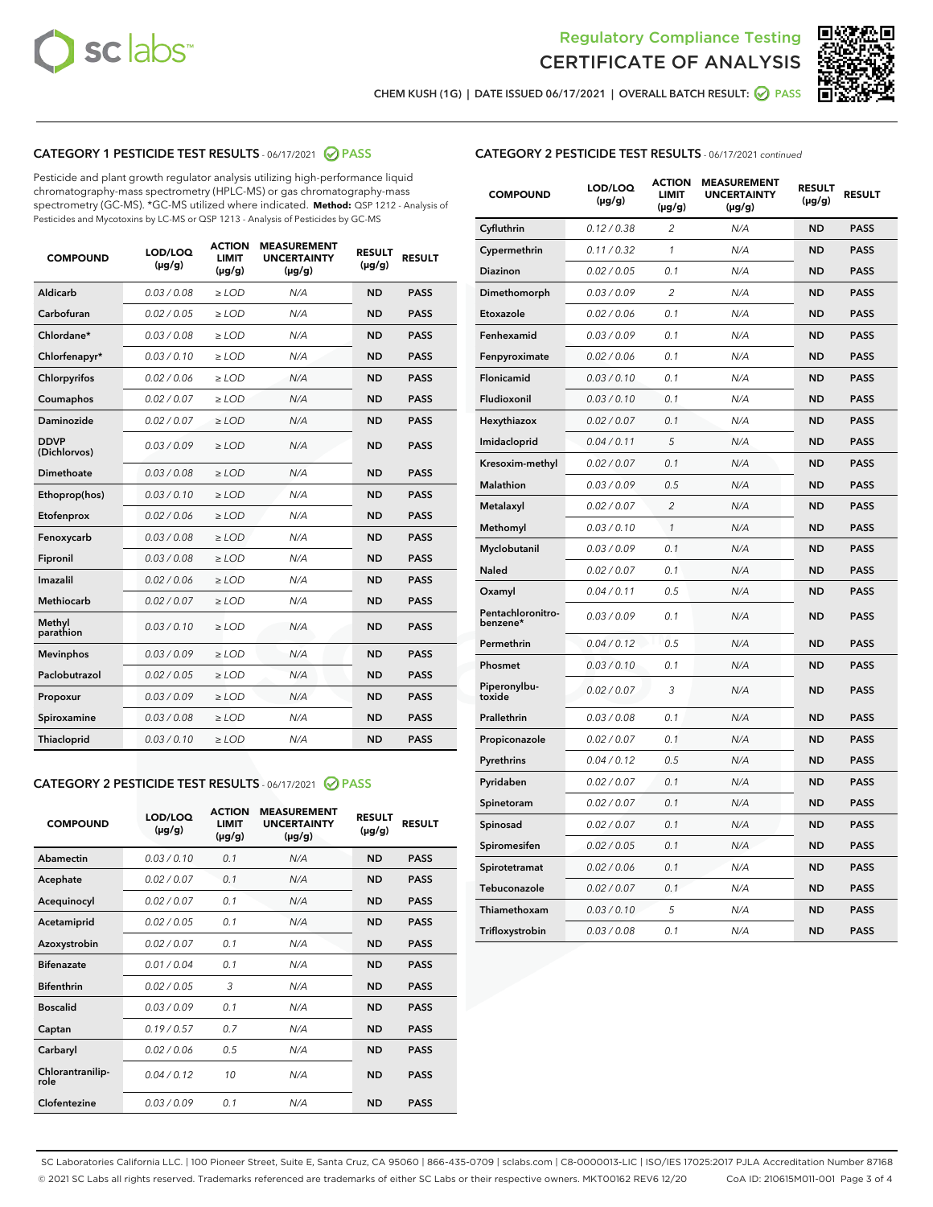



CHEM KUSH (1G) | DATE ISSUED 06/17/2021 | OVERALL BATCH RESULT: ● PASS

# CATEGORY 1 PESTICIDE TEST RESULTS - 06/17/2021 2 PASS

Pesticide and plant growth regulator analysis utilizing high-performance liquid chromatography-mass spectrometry (HPLC-MS) or gas chromatography-mass spectrometry (GC-MS). \*GC-MS utilized where indicated. **Method:** QSP 1212 - Analysis of Pesticides and Mycotoxins by LC-MS or QSP 1213 - Analysis of Pesticides by GC-MS

| <b>COMPOUND</b>             | LOD/LOQ<br>$(\mu g/g)$ | <b>ACTION</b><br><b>LIMIT</b><br>$(\mu g/g)$ | <b>MEASUREMENT</b><br><b>UNCERTAINTY</b><br>$(\mu g/g)$ | <b>RESULT</b><br>$(\mu g/g)$ | <b>RESULT</b> |
|-----------------------------|------------------------|----------------------------------------------|---------------------------------------------------------|------------------------------|---------------|
| Aldicarb                    | 0.03 / 0.08            | $\geq$ LOD                                   | N/A                                                     | <b>ND</b>                    | <b>PASS</b>   |
| Carbofuran                  | 0.02/0.05              | $\ge$ LOD                                    | N/A                                                     | <b>ND</b>                    | <b>PASS</b>   |
| Chlordane*                  | 0.03 / 0.08            | $\ge$ LOD                                    | N/A                                                     | <b>ND</b>                    | <b>PASS</b>   |
| Chlorfenapyr*               | 0.03/0.10              | $\ge$ LOD                                    | N/A                                                     | <b>ND</b>                    | <b>PASS</b>   |
| Chlorpyrifos                | 0.02 / 0.06            | $\ge$ LOD                                    | N/A                                                     | <b>ND</b>                    | <b>PASS</b>   |
| Coumaphos                   | 0.02 / 0.07            | $\ge$ LOD                                    | N/A                                                     | <b>ND</b>                    | <b>PASS</b>   |
| Daminozide                  | 0.02 / 0.07            | $\ge$ LOD                                    | N/A                                                     | <b>ND</b>                    | <b>PASS</b>   |
| <b>DDVP</b><br>(Dichlorvos) | 0.03/0.09              | $\ge$ LOD                                    | N/A                                                     | <b>ND</b>                    | <b>PASS</b>   |
| Dimethoate                  | 0.03 / 0.08            | $\ge$ LOD                                    | N/A                                                     | <b>ND</b>                    | <b>PASS</b>   |
| Ethoprop(hos)               | 0.03/0.10              | $\ge$ LOD                                    | N/A                                                     | <b>ND</b>                    | <b>PASS</b>   |
| Etofenprox                  | 0.02/0.06              | $\ge$ LOD                                    | N/A                                                     | <b>ND</b>                    | <b>PASS</b>   |
| Fenoxycarb                  | 0.03/0.08              | $\ge$ LOD                                    | N/A                                                     | <b>ND</b>                    | <b>PASS</b>   |
| Fipronil                    | 0.03/0.08              | $\ge$ LOD                                    | N/A                                                     | <b>ND</b>                    | <b>PASS</b>   |
| Imazalil                    | 0.02 / 0.06            | $\ge$ LOD                                    | N/A                                                     | <b>ND</b>                    | <b>PASS</b>   |
| <b>Methiocarb</b>           | 0.02 / 0.07            | $\ge$ LOD                                    | N/A                                                     | <b>ND</b>                    | <b>PASS</b>   |
| Methyl<br>parathion         | 0.03/0.10              | $\ge$ LOD                                    | N/A                                                     | <b>ND</b>                    | <b>PASS</b>   |
| <b>Mevinphos</b>            | 0.03/0.09              | $\ge$ LOD                                    | N/A                                                     | <b>ND</b>                    | <b>PASS</b>   |
| Paclobutrazol               | 0.02 / 0.05            | $\ge$ LOD                                    | N/A                                                     | <b>ND</b>                    | <b>PASS</b>   |
| Propoxur                    | 0.03/0.09              | $\ge$ LOD                                    | N/A                                                     | <b>ND</b>                    | <b>PASS</b>   |
| Spiroxamine                 | 0.03 / 0.08            | $\ge$ LOD                                    | N/A                                                     | <b>ND</b>                    | <b>PASS</b>   |
| <b>Thiacloprid</b>          | 0.03/0.10              | $\ge$ LOD                                    | N/A                                                     | <b>ND</b>                    | <b>PASS</b>   |
|                             |                        |                                              |                                                         |                              |               |

# CATEGORY 2 PESTICIDE TEST RESULTS - 06/17/2021 @ PASS

| <b>COMPOUND</b>          | LOD/LOO<br>$(\mu g/g)$ | <b>ACTION</b><br>LIMIT<br>$(\mu g/g)$ | <b>MEASUREMENT</b><br><b>UNCERTAINTY</b><br>$(\mu g/g)$ | <b>RESULT</b><br>$(\mu g/g)$ | <b>RESULT</b> |  |
|--------------------------|------------------------|---------------------------------------|---------------------------------------------------------|------------------------------|---------------|--|
| Abamectin                | 0.03/0.10              | 0.1                                   | N/A                                                     | <b>ND</b>                    | <b>PASS</b>   |  |
| Acephate                 | 0.02/0.07              | 0.1                                   | N/A                                                     | <b>ND</b>                    | <b>PASS</b>   |  |
| Acequinocyl              | 0.02/0.07              | 0.1                                   | N/A                                                     | <b>ND</b>                    | <b>PASS</b>   |  |
| Acetamiprid              | 0.02/0.05              | 0.1                                   | N/A                                                     | <b>ND</b>                    | <b>PASS</b>   |  |
| Azoxystrobin             | 0.02/0.07              | 0.1                                   | N/A                                                     | <b>ND</b>                    | <b>PASS</b>   |  |
| <b>Bifenazate</b>        | 0.01/0.04              | 0.1                                   | N/A                                                     | <b>ND</b>                    | <b>PASS</b>   |  |
| <b>Bifenthrin</b>        | 0.02/0.05              | 3                                     | N/A                                                     | <b>ND</b>                    | <b>PASS</b>   |  |
| <b>Boscalid</b>          | 0.03/0.09              | 0.1                                   | N/A                                                     | <b>ND</b>                    | <b>PASS</b>   |  |
| Captan                   | 0.19/0.57              | 0.7                                   | N/A                                                     | <b>ND</b>                    | <b>PASS</b>   |  |
| Carbaryl                 | 0.02/0.06              | 0.5                                   | N/A                                                     | <b>ND</b>                    | <b>PASS</b>   |  |
| Chlorantranilip-<br>role | 0.04/0.12              | 10                                    | N/A                                                     | <b>ND</b>                    | <b>PASS</b>   |  |
| Clofentezine             | 0.03/0.09              | 0.1                                   | N/A                                                     | <b>ND</b>                    | <b>PASS</b>   |  |

## CATEGORY 2 PESTICIDE TEST RESULTS - 06/17/2021 continued

| <b>COMPOUND</b>               | LOD/LOQ<br>$(\mu g/g)$ | <b>ACTION</b><br>LIMIT<br>(µg/g) | <b>MEASUREMENT</b><br><b>UNCERTAINTY</b><br>(µg/g) | <b>RESULT</b><br>(µg/g) | <b>RESULT</b> |
|-------------------------------|------------------------|----------------------------------|----------------------------------------------------|-------------------------|---------------|
| Cyfluthrin                    | 0.12 / 0.38            | 2                                | N/A                                                | <b>ND</b>               | <b>PASS</b>   |
| Cypermethrin                  | 0.11 / 0.32            | 1                                | N/A                                                | <b>ND</b>               | <b>PASS</b>   |
| Diazinon                      | 0.02 / 0.05            | 0.1                              | N/A                                                | <b>ND</b>               | <b>PASS</b>   |
| Dimethomorph                  | 0.03 / 0.09            | $\overline{\mathcal{L}}$         | N/A                                                | <b>ND</b>               | <b>PASS</b>   |
| Etoxazole                     | 0.02 / 0.06            | 0.1                              | N/A                                                | <b>ND</b>               | <b>PASS</b>   |
| Fenhexamid                    | 0.03 / 0.09            | 0.1                              | N/A                                                | <b>ND</b>               | <b>PASS</b>   |
| Fenpyroximate                 | 0.02 / 0.06            | 0.1                              | N/A                                                | <b>ND</b>               | <b>PASS</b>   |
| Flonicamid                    | 0.03 / 0.10            | 0.1                              | N/A                                                | <b>ND</b>               | <b>PASS</b>   |
| Fludioxonil                   | 0.03/0.10              | 0.1                              | N/A                                                | <b>ND</b>               | <b>PASS</b>   |
| Hexythiazox                   | 0.02 / 0.07            | 0.1                              | N/A                                                | <b>ND</b>               | <b>PASS</b>   |
| Imidacloprid                  | 0.04 / 0.11            | 5                                | N/A                                                | <b>ND</b>               | <b>PASS</b>   |
| Kresoxim-methyl               | 0.02 / 0.07            | 0.1                              | N/A                                                | <b>ND</b>               | <b>PASS</b>   |
| Malathion                     | 0.03 / 0.09            | 0.5                              | N/A                                                | <b>ND</b>               | <b>PASS</b>   |
| Metalaxyl                     | 0.02 / 0.07            | 2                                | N/A                                                | ND                      | <b>PASS</b>   |
| Methomyl                      | 0.03 / 0.10            | $\mathbf{1}$                     | N/A                                                | <b>ND</b>               | <b>PASS</b>   |
| Myclobutanil                  | 0.03 / 0.09            | 0.1                              | N/A                                                | <b>ND</b>               | <b>PASS</b>   |
| Naled                         | 0.02 / 0.07            | 0.1                              | N/A                                                | <b>ND</b>               | <b>PASS</b>   |
| Oxamyl                        | 0.04 / 0.11            | 0.5                              | N/A                                                | <b>ND</b>               | <b>PASS</b>   |
| Pentachloronitro-<br>benzene* | 0.03 / 0.09            | 0.1                              | N/A                                                | ND                      | <b>PASS</b>   |
| Permethrin                    | 0.04 / 0.12            | 0.5                              | N/A                                                | <b>ND</b>               | <b>PASS</b>   |
| Phosmet                       | 0.03 / 0.10            | 0.1                              | N/A                                                | ND                      | <b>PASS</b>   |
| Piperonylbu-<br>toxide        | 0.02 / 0.07            | 3                                | N/A                                                | <b>ND</b>               | <b>PASS</b>   |
| Prallethrin                   | 0.03 / 0.08            | 0.1                              | N/A                                                | <b>ND</b>               | <b>PASS</b>   |
| Propiconazole                 | 0.02 / 0.07            | 0.1                              | N/A                                                | <b>ND</b>               | <b>PASS</b>   |
| Pyrethrins                    | 0.04 / 0.12            | 0.5                              | N/A                                                | <b>ND</b>               | <b>PASS</b>   |
| Pyridaben                     | 0.02 / 0.07            | 0.1                              | N/A                                                | <b>ND</b>               | <b>PASS</b>   |
| Spinetoram                    | 0.02 / 0.07            | 0.1                              | N/A                                                | <b>ND</b>               | <b>PASS</b>   |
| Spinosad                      | 0.02 / 0.07            | 0.1                              | N/A                                                | <b>ND</b>               | <b>PASS</b>   |
| Spiromesifen                  | 0.02 / 0.05            | 0.1                              | N/A                                                | <b>ND</b>               | <b>PASS</b>   |
| Spirotetramat                 | 0.02 / 0.06            | 0.1                              | N/A                                                | <b>ND</b>               | <b>PASS</b>   |
| Tebuconazole                  | 0.02 / 0.07            | 0.1                              | N/A                                                | <b>ND</b>               | <b>PASS</b>   |
| Thiamethoxam                  | 0.03 / 0.10            | 5                                | N/A                                                | <b>ND</b>               | <b>PASS</b>   |
| Trifloxystrobin               | 0.03 / 0.08            | 0.1                              | N/A                                                | <b>ND</b>               | <b>PASS</b>   |

SC Laboratories California LLC. | 100 Pioneer Street, Suite E, Santa Cruz, CA 95060 | 866-435-0709 | sclabs.com | C8-0000013-LIC | ISO/IES 17025:2017 PJLA Accreditation Number 87168 © 2021 SC Labs all rights reserved. Trademarks referenced are trademarks of either SC Labs or their respective owners. MKT00162 REV6 12/20 CoA ID: 210615M011-001 Page 3 of 4